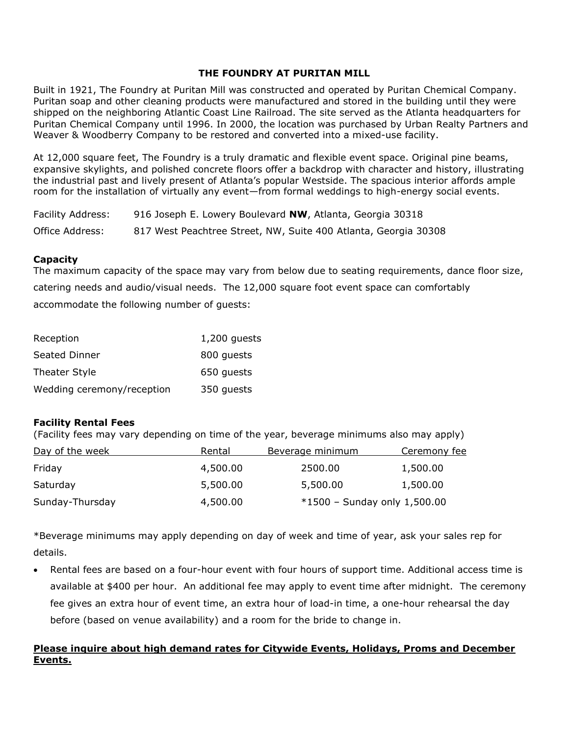Built in 1921, The Foundry at Puritan Mill was constructed and operated by Puritan Chemical Company. Puritan soap and other cleaning products were manufactured and stored in the building until they were shipped on the neighboring Atlantic Coast Line Railroad. The site served as the Atlanta headquarters for Puritan Chemical Company until 1996. In 2000, the location was purchased by Urban Realty Partners and Weaver & Woodberry Company to be restored and converted into a mixed-use facility.

At 12,000 square feet, The Foundry is a truly dramatic and flexible event space. Original pine beams, expansive skylights, and polished concrete floors offer a backdrop with character and history, illustrating the industrial past and lively present of Atlanta's popular Westside. The spacious interior affords ample room for the installation of virtually any event—from formal weddings to high-energy social events.

| Facility Address: | 916 Joseph E. Lowery Boulevard NW, Atlanta, Georgia 30318       |
|-------------------|-----------------------------------------------------------------|
| Office Address:   | 817 West Peachtree Street, NW, Suite 400 Atlanta, Georgia 30308 |

### **Capacity**

The maximum capacity of the space may vary from below due to seating requirements, dance floor size, catering needs and audio/visual needs. The 12,000 square foot event space can comfortably accommodate the following number of guests:

| Reception                  | $1,200$ guests |
|----------------------------|----------------|
| Seated Dinner              | 800 quests     |
| Theater Style              | 650 quests     |
| Wedding ceremony/reception | 350 guests     |

### **Facility Rental Fees**

(Facility fees may vary depending on time of the year, beverage minimums also may apply)

| Day of the week | Rental   | Beverage minimum             | Ceremony fee |
|-----------------|----------|------------------------------|--------------|
| Friday          | 4,500.00 | 2500.00                      | 1,500.00     |
| Saturday        | 5,500.00 | 5,500.00                     | 1,500.00     |
| Sunday-Thursday | 4,500.00 | *1500 - Sunday only 1,500.00 |              |

\*Beverage minimums may apply depending on day of week and time of year, ask your sales rep for details.

• Rental fees are based on a four-hour event with four hours of support time. Additional access time is available at \$400 per hour. An additional fee may apply to event time after midnight. The ceremony fee gives an extra hour of event time, an extra hour of load-in time, a one-hour rehearsal the day before (based on venue availability) and a room for the bride to change in.

## **Please inquire about high demand rates for Citywide Events, Holidays, Proms and December Events.**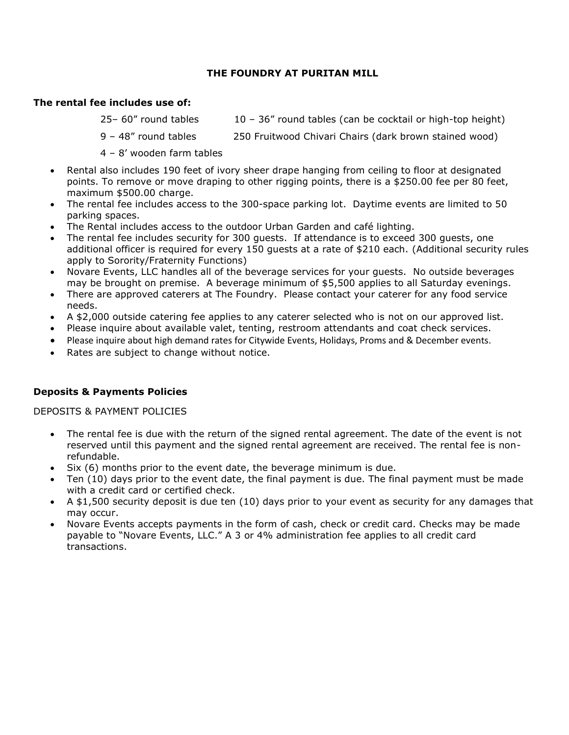### **The rental fee includes use of:**

- $25-60''$  round tables  $10-36''$  round tables (can be cocktail or high-top height)
- 9 48" round tables 250 Fruitwood Chivari Chairs (dark brown stained wood)
- 4 8' wooden farm tables
- Rental also includes 190 feet of ivory sheer drape hanging from ceiling to floor at designated points. To remove or move draping to other rigging points, there is a \$250.00 fee per 80 feet, maximum \$500.00 charge.
- The rental fee includes access to the 300-space parking lot. Daytime events are limited to 50 parking spaces.
- The Rental includes access to the outdoor Urban Garden and café lighting.
- The rental fee includes security for 300 guests. If attendance is to exceed 300 guests, one additional officer is required for every 150 guests at a rate of \$210 each. (Additional security rules apply to Sorority/Fraternity Functions)
- Novare Events, LLC handles all of the beverage services for your guests. No outside beverages may be brought on premise. A beverage minimum of \$5,500 applies to all Saturday evenings.
- There are approved caterers at The Foundry. Please contact your caterer for any food service needs.
- A \$2,000 outside catering fee applies to any caterer selected who is not on our approved list.
- Please inquire about available valet, tenting, restroom attendants and coat check services.
- Please inquire about high demand rates for Citywide Events, Holidays, Proms and & December events.
- Rates are subject to change without notice.

### **Deposits & Payments Policies**

DEPOSITS & PAYMENT POLICIES

- The rental fee is due with the return of the signed rental agreement. The date of the event is not reserved until this payment and the signed rental agreement are received. The rental fee is nonrefundable.
- Six (6) months prior to the event date, the beverage minimum is due.
- Ten (10) days prior to the event date, the final payment is due. The final payment must be made with a credit card or certified check.
- A \$1,500 security deposit is due ten (10) days prior to your event as security for any damages that may occur.
- Novare Events accepts payments in the form of cash, check or credit card. Checks may be made payable to "Novare Events, LLC." A 3 or 4% administration fee applies to all credit card transactions.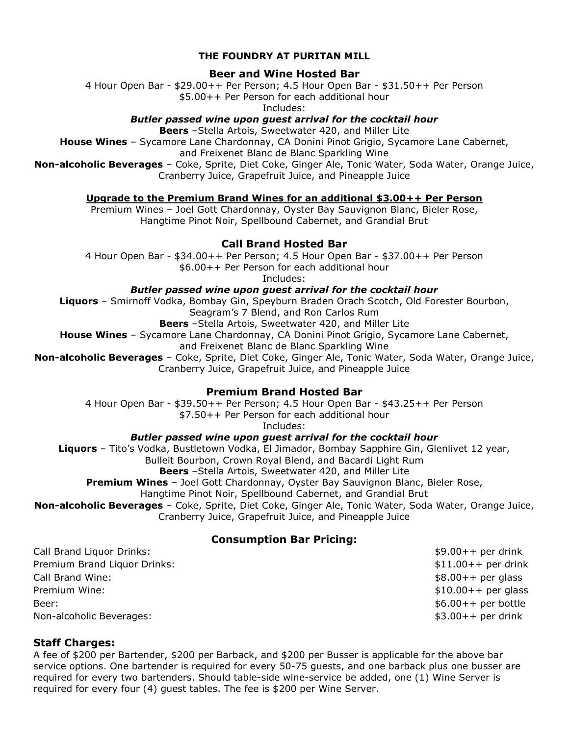### **Beer and Wine Hosted Bar**

4 Hour Open Bar - \$29.00++ Per Person; 4.5 Hour Open Bar - \$31.50++ Per Person

\$5.00++ Per Person for each additional hour

Includes:

*Butler passed wine upon guest arrival for the cocktail hour*

**Beers** –Stella Artois, Sweetwater 420, and Miller Lite

**House Wines** – Sycamore Lane Chardonnay, CA Donini Pinot Grigio, Sycamore Lane Cabernet,

and Freixenet Blanc de Blanc Sparkling Wine

**Non-alcoholic Beverages** – Coke, Sprite, Diet Coke, Ginger Ale, Tonic Water, Soda Water, Orange Juice, Cranberry Juice, Grapefruit Juice, and Pineapple Juice

**Upgrade to the Premium Brand Wines for an additional \$3.00++ Per Person**

Premium Wines – Joel Gott Chardonnay, Oyster Bay Sauvignon Blanc, Bieler Rose, Hangtime Pinot Noir, Spellbound Cabernet, and Grandial Brut

# **Call Brand Hosted Bar**

4 Hour Open Bar - \$34.00++ Per Person; 4.5 Hour Open Bar - \$37.00++ Per Person \$6.00++ Per Person for each additional hour

Includes:

*Butler passed wine upon guest arrival for the cocktail hour*

**Liquors** – Smirnoff Vodka, Bombay Gin, Speyburn Braden Orach Scotch, Old Forester Bourbon, Seagram's 7 Blend, and Ron Carlos Rum

**Beers** –Stella Artois, Sweetwater 420, and Miller Lite

**House Wines** – Sycamore Lane Chardonnay, CA Donini Pinot Grigio, Sycamore Lane Cabernet, and Freixenet Blanc de Blanc Sparkling Wine

**Non-alcoholic Beverages** – Coke, Sprite, Diet Coke, Ginger Ale, Tonic Water, Soda Water, Orange Juice, Cranberry Juice, Grapefruit Juice, and Pineapple Juice

# **Premium Brand Hosted Bar**

4 Hour Open Bar - \$39.50++ Per Person; 4.5 Hour Open Bar - \$43.25++ Per Person \$7.50++ Per Person for each additional hour

Includes:

## *Butler passed wine upon guest arrival for the cocktail hour*

**Liquors** – Tito's Vodka, Bustletown Vodka, El Jimador, Bombay Sapphire Gin, Glenlivet 12 year, Bulleit Bourbon, Crown Royal Blend, and Bacardi Light Rum **Beers** –Stella Artois, Sweetwater 420, and Miller Lite **Premium Wines** – Joel Gott Chardonnay, Oyster Bay Sauvignon Blanc, Bieler Rose,

Hangtime Pinot Noir, Spellbound Cabernet, and Grandial Brut

**Non-alcoholic Beverages** – Coke, Sprite, Diet Coke, Ginger Ale, Tonic Water, Soda Water, Orange Juice,

Cranberry Juice, Grapefruit Juice, and Pineapple Juice

# **Consumption Bar Pricing:**

Call Brand Liquor Drinks: \$9.00++ per drink Premium Brand Liquor Drinks:  $$11.00++$  per drink Call Brand Wine: \$8.00++ per glass Premium Wine:  $$10.00++$  per glass Beer: \$6.00++ per bottle Non-alcoholic Beverages: \$3.00++ per drink

## **Staff Charges:**

A fee of \$200 per Bartender, \$200 per Barback, and \$200 per Busser is applicable for the above bar service options. One bartender is required for every 50-75 guests, and one barback plus one busser are required for every two bartenders. Should table-side wine-service be added, one (1) Wine Server is required for every four (4) guest tables. The fee is \$200 per Wine Server.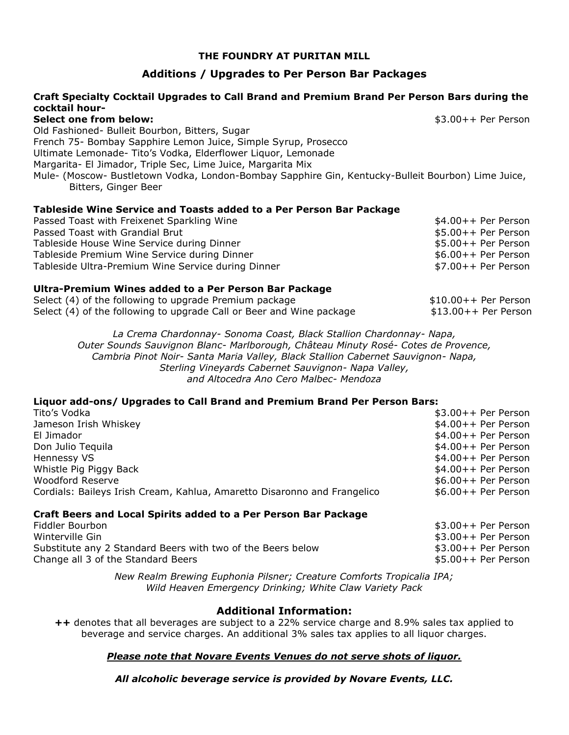## **Additions / Upgrades to Per Person Bar Packages**

### **Craft Specialty Cocktail Upgrades to Call Brand and Premium Brand Per Person Bars during the cocktail hour-**

#### **Select one from below:**  $$3.00++$  Per Person

Old Fashioned- Bulleit Bourbon, Bitters, Sugar French 75- Bombay Sapphire Lemon Juice, Simple Syrup, Prosecco Ultimate Lemonade- Tito's Vodka, Elderflower Liquor, Lemonade Margarita- El Jimador, Triple Sec, Lime Juice, Margarita Mix Mule- (Moscow- Bustletown Vodka, London-Bombay Sapphire Gin, Kentucky-Bulleit Bourbon) Lime Juice, Bitters, Ginger Beer

#### **Tableside Wine Service and Toasts added to a Per Person Bar Package**

| Passed Toast with Freixenet Sparkling Wine         | $$4.00++$ Per Person |
|----------------------------------------------------|----------------------|
| Passed Toast with Grandial Brut                    | $$5.00++$ Per Person |
| Tableside House Wine Service during Dinner         | $$5.00++$ Per Person |
| Tableside Premium Wine Service during Dinner       | $$6.00++$ Per Person |
| Tableside Ultra-Premium Wine Service during Dinner | \$7.00++ Per Person  |

#### **Ultra-Premium Wines added to a Per Person Bar Package**

| Select (4) of the following to upgrade Premium package               | \$10.00++ Per Person  |
|----------------------------------------------------------------------|-----------------------|
| Select (4) of the following to upgrade Call or Beer and Wine package | $$13.00++$ Per Person |

*La Crema Chardonnay- Sonoma Coast, Black Stallion Chardonnay- Napa, Outer Sounds Sauvignon Blanc- Marlborough, Château Minuty Rosé- Cotes de Provence, Cambria Pinot Noir- Santa Maria Valley, Black Stallion Cabernet Sauvignon- Napa, Sterling Vineyards Cabernet Sauvignon- Napa Valley, and Altocedra Ano Cero Malbec- Mendoza*

### **Liquor add-ons/ Upgrades to Call Brand and Premium Brand Per Person Bars:**

| Tito's Vodka                                                             | $$3.00++$ Per Person |
|--------------------------------------------------------------------------|----------------------|
| Jameson Irish Whiskey                                                    | $$4.00++$ Per Person |
| El Jimador                                                               | $$4.00++$ Per Person |
| Don Julio Tequila                                                        | $$4.00++$ Per Person |
| Hennessy VS                                                              | $$4.00++$ Per Person |
| Whistle Pig Piggy Back                                                   | $$4.00++$ Per Person |
| Woodford Reserve                                                         | $$6.00++$ Per Person |
| Cordials: Baileys Irish Cream, Kahlua, Amaretto Disaronno and Frangelico | $$6.00++$ Per Person |
|                                                                          |                      |

### **Craft Beers and Local Spirits added to a Per Person Bar Package**

| Fiddler Bourbon                                             | $$3.00++$ Per Person |
|-------------------------------------------------------------|----------------------|
| Winterville Gin                                             | $$3.00++$ Per Person |
| Substitute any 2 Standard Beers with two of the Beers below | \$3.00++ Per Person  |
| Change all 3 of the Standard Beers                          | \$5.00++ Per Person  |

*New Realm Brewing Euphonia Pilsner; Creature Comforts Tropicalia IPA; Wild Heaven Emergency Drinking; White Claw Variety Pack*

### **Additional Information:**

**++** denotes that all beverages are subject to a 22% service charge and 8.9% sales tax applied to beverage and service charges. An additional 3% sales tax applies to all liquor charges.

### *Please note that Novare Events Venues do not serve shots of liquor.*

*All alcoholic beverage service is provided by Novare Events, LLC.*